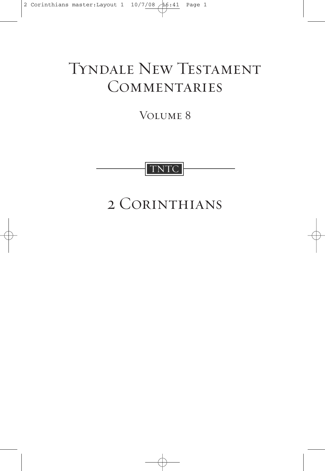# TYNDALE NEW TESTAMENT COMMENTARIES

# VOLUME 8



# 2 CORINTHIANS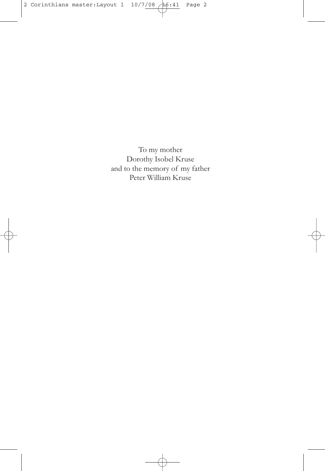To my mother Dorothy Isobel Kruse and to the memory of my father Peter William Kruse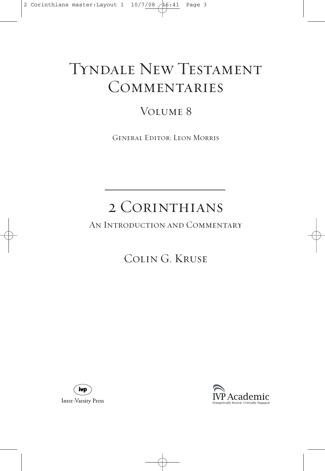2 Corinthians master: Layout 1  $10/7/08$   $\cancel{+}6:41$  Page 3

# TYNDALE NEW TESTAMENT COMMENTARIES

# VOLUME 8

GENERAL EDITOR: LEON MORRIS

# 2 CORINTHIANS

AN INTRODUCTION AND COMMENTARY

# COLIN G. KRUSE



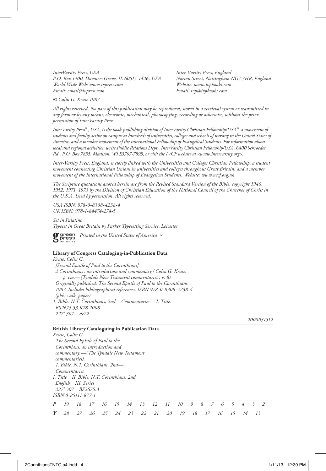*InterVarsity Press, USA Inter-Varsity Press, England P.O. Box 1400, Downers Grove, IL 60515-1426, USA Norton Street, Nottingham NG7 3HR, England World Wide Web: www.ivpress.com Website: www.ivpbooks.com Email: email@ivpress.com Email: ivp@ivpbooks.com*

*© Colin G. Kruse 1987*

*All rights reserved. No part of this publication may be reproduced, stored in a retrieval system or transmitted in any form or by any means, electronic, mechanical, photocopying, recording or otherwise, without the prior permission of InterVarsity Press.*

*InterVarsity Press® , USA, is the book-publishing division of InterVarsity Christian Fellowship/USA®, a movement of students and faculty active on campus at hundreds of universities, colleges and schools of nursing in the United States of America, and a member movement of the International Fellowship of Evangelical Students. For information about local and regional activities, write Public Relations Dept., InterVarsity Christian Fellowship/USA, 6400 Schroeder Rd., P.O. Box 7895, Madison, WI 53707-7895, or visit the IVCF website at <www.intervarsity.org>.*

*Inter-Varsity Press, England, is closely linked with the Universities and Colleges Christian Fellowship, a student movement connecting Christian Unions in universities and colleges throughout Great Britain, and a member movement of the International Fellowship of Evangelical Students. Website: www.uccf.org.uk.*

*The Scripture quotations quoted herein are from the Revised Standard Version of the Bible, copyright 1946, 1952, 1971, 1973 by the Division of Christian Education of the National Council of the Churches of Christ in the U.S.A. Used by permission. All rights reserved.*

*USA ISBN: 978-0-8308-4238-4 UK ISBN: 978-1-84474-274-5*

*Set in Palatino Typeset in Great Britain by Parker Typesetting Service, Leicester*

**Prince** *Printed in the United States of America* ∞ *Printed in the United States of America* 

#### **Library of Congress Cataloging-in-Publication Data**

*Kruse, Colin G. [Second Epistle of Paul to the Corinthians] 2 Corinthians : an introduction and commentary / Colin G. Kruse. p. cm.—(Tyndale New Testament commentaries ; v. 8) Originally published: The Second Epistle of Paul to the Corinthians. 1987. Includes bibliographical references. ISBN 978-0-8308-4238-4 (pbk. : alk. paper) 1. Bible. N.T. Corinthians, 2nd—Commentaries. I. Title. BS2675.53.K78 2008 227'.307—dc22*

*2008031512*

|                                        |                                           |                    | British Library Cataloguing in Publication Data |    |    |    |    |     |       |    |    |                     |    |    |    |    |     |
|----------------------------------------|-------------------------------------------|--------------------|-------------------------------------------------|----|----|----|----|-----|-------|----|----|---------------------|----|----|----|----|-----|
|                                        | Kruse, Colin G.                           |                    |                                                 |    |    |    |    |     |       |    |    |                     |    |    |    |    |     |
|                                        |                                           |                    | The Second Epistle of Paul to the               |    |    |    |    |     |       |    |    |                     |    |    |    |    |     |
| Corinthians: an introduction and       |                                           |                    |                                                 |    |    |    |    |     |       |    |    |                     |    |    |    |    |     |
| commentary.—(The Tyndale New Testament |                                           |                    |                                                 |    |    |    |    |     |       |    |    |                     |    |    |    |    |     |
|                                        | commentaries).                            |                    |                                                 |    |    |    |    |     |       |    |    |                     |    |    |    |    |     |
|                                        | 1. Bible, N.T. Corinthians, 2nd-          |                    |                                                 |    |    |    |    |     |       |    |    |                     |    |    |    |    |     |
|                                        | Commentaries                              |                    |                                                 |    |    |    |    |     |       |    |    |                     |    |    |    |    |     |
|                                        | I. Title II. Bible. N.T. Corinthians, 2nd |                    |                                                 |    |    |    |    |     |       |    |    |                     |    |    |    |    |     |
| III. Series<br>English                 |                                           |                    |                                                 |    |    |    |    |     |       |    |    |                     |    |    |    |    |     |
|                                        | 227'.307 BS2675.3                         |                    |                                                 |    |    |    |    |     |       |    |    |                     |    |    |    |    |     |
|                                        |                                           | ISBN 0-85111-877-1 |                                                 |    |    |    |    |     |       |    |    |                     |    |    |    |    |     |
|                                        | 19                                        | 18                 | 17                                              | 16 | 15 | 14 | 13 | 12  | 11 10 |    | 9  | 8 <sup>8</sup><br>7 | 6  | 5  | 4  | 3  | - 2 |
|                                        | 28                                        | 27                 | 26                                              | 25 | 24 | 23 | 22 | -21 | 20    | 19 | 18 | 17                  | 16 | 15 | 14 | 13 |     |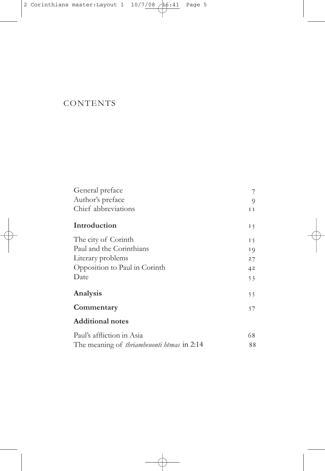# CONTENTS

| General preface                                   |                |
|---------------------------------------------------|----------------|
| Author's preface                                  | 9              |
| Chief abbreviations                               | ΙI             |
| Introduction                                      | 15             |
| The city of Corinth                               | $I\,5$         |
| Paul and the Corinthians                          | 19             |
| Literary problems                                 | 27             |
| Opposition to Paul in Corinth                     | 4 <sup>2</sup> |
| Date                                              | 53             |
| Analysis                                          | 55             |
| Commentary                                        | 57             |
| <b>Additional notes</b>                           |                |
| Paul's affliction in Asia                         | 68             |
| The meaning of <i>thriambeuonti hēmas</i> in 2:14 | 88             |

⇁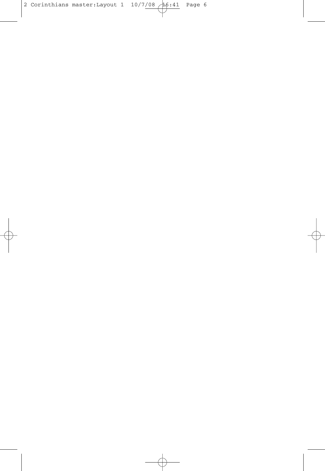2 Corinthians master:Layout 1  $10/7/08$  16:41 Page 6

 $\overline{\varphi}$ 

 $\overline{\oplus}$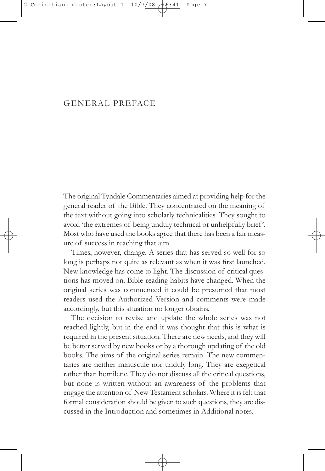# GENERAL PREFACE

The original Tyndale Commentaries aimed at providing help for the general reader of the Bible. They concentrated on the meaning of the text without going into scholarly technicalities. They sought to avoid 'the extremes of being unduly technical or unhelpfully brief '. Most who have used the books agree that there has been a fair measure of success in reaching that aim.

Times, however, change. A series that has served so well for so long is perhaps not quite as relevant as when it was first launched. New knowledge has come to light. The discussion of critical questions has moved on. Bible-reading habits have changed. When the original series was commenced it could be presumed that most readers used the Authorized Version and comments were made accordingly, but this situation no longer obtains.

The decision to revise and update the whole series was not reached lightly, but in the end it was thought that this is what is required in the present situation. There are new needs, and they will be better served by new books or by a thorough updating of the old books. The aims of the original series remain. The new commentaries are neither minuscule nor unduly long. They are exegetical rather than homiletic. They do not discuss all the critical questions, but none is written without an awareness of the problems that engage the attention of New Testament scholars. Where it is felt that formal consideration should be given to such questions, they are discussed in the Introduction and sometimes in Additional notes.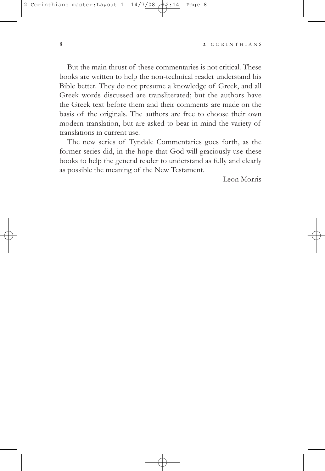8 2 CORINTHIANS

But the main thrust of these commentaries is not critical. These books are written to help the non-technical reader understand his Bible better. They do not presume a knowledge of Greek, and all Greek words discussed are transliterated; but the authors have the Greek text before them and their comments are made on the basis of the originals. The authors are free to choose their own modern translation, but are asked to bear in mind the variety of translations in current use.

The new series of Tyndale Commentaries goes forth, as the former series did, in the hope that God will graciously use these books to help the general reader to understand as fully and clearly as possible the meaning of the New Testament.

Leon Morris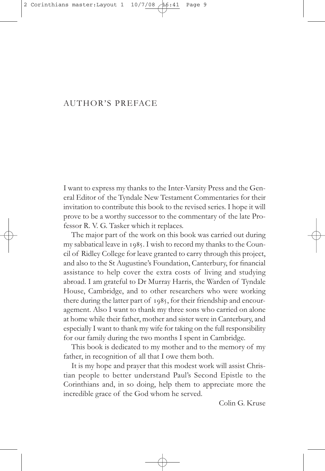## AUTHOR'S PREFACE

I want to express my thanks to the Inter-Varsity Press and the General Editor of the Tyndale New Testament Commentaries for their invitation to contribute this book to the revised series. I hope it will prove to be a worthy successor to the commentary of the late Professor R. V. G. Tasker which it replaces.

The major part of the work on this book was carried out during my sabbatical leave in 1985. I wish to record my thanks to the Council of Ridley College for leave granted to carry through this project, and also to the St Augustine's Foundation, Canterbury, for financial assistance to help cover the extra costs of living and studying abroad. I am grateful to Dr Murray Harris, the Warden of Tyndale House, Cambridge, and to other researchers who were working there during the latter part of 1985, for their friendship and encouragement. Also I want to thank my three sons who carried on alone at home while their father, mother and sister were in Canterbury, and especially I want to thank my wife for taking on the full responsibility for our family during the two months I spent in Cambridge.

This book is dedicated to my mother and to the memory of my father, in recognition of all that I owe them both.

It is my hope and prayer that this modest work will assist Christian people to better understand Paul's Second Epistle to the Corinthians and, in so doing, help them to appreciate more the incredible grace of the God whom he served.

Colin G. Kruse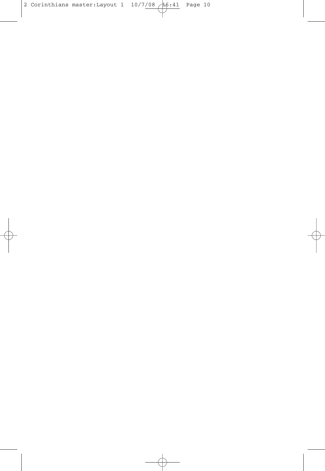2 Corinthians master:Layout 1  $10/7/08$  16:41 Page 10

 $\overline{\varphi}$ 

€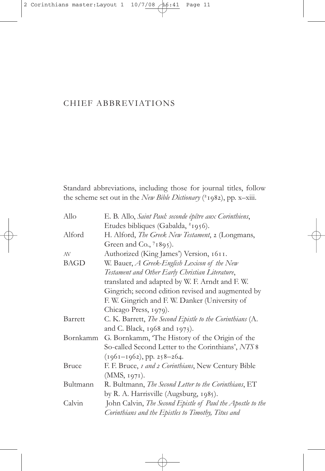# CHIEF ABBREVIATIONS

Standard abbreviations, including those for journal titles, follow the scheme set out in the *New Bible Dictionary* (<sup>2</sup>1982), pp. x-xiii.

| Allo         | E. B. Allo, Saint Paul: seconde épître aux Corinthiens,       |  |  |  |  |  |  |
|--------------|---------------------------------------------------------------|--|--|--|--|--|--|
|              | Etudes bibliques (Gabalda, 21956).                            |  |  |  |  |  |  |
| Alford       | H. Alford, <i>The Greek New Testament</i> , 2 (Longmans,      |  |  |  |  |  |  |
|              | Green and Co., 71895).                                        |  |  |  |  |  |  |
| AV           | Authorized (King James') Version, 1611.                       |  |  |  |  |  |  |
| <b>BAGD</b>  | W. Bauer, A Greek-English Lexicon of the New                  |  |  |  |  |  |  |
|              | Testament and Other Early Christian Literature,               |  |  |  |  |  |  |
|              | translated and adapted by W. F. Arndt and F. W.               |  |  |  |  |  |  |
|              | Gingrich; second edition revised and augmented by             |  |  |  |  |  |  |
|              | F. W. Gingrich and F. W. Danker (University of                |  |  |  |  |  |  |
|              | Chicago Press, 1979).                                         |  |  |  |  |  |  |
| Barrett      | C. K. Barrett, The Second Epistle to the Corinthians (A.      |  |  |  |  |  |  |
|              | and C. Black, 1968 and 1973).                                 |  |  |  |  |  |  |
| Bornkamm     | G. Bornkamm, 'The History of the Origin of the                |  |  |  |  |  |  |
|              | So-called Second Letter to the Corinthians', NTS 8            |  |  |  |  |  |  |
|              | $(1961 - 1962)$ , pp. 258-264.                                |  |  |  |  |  |  |
| <b>Bruce</b> | F. F. Bruce, <i>1 and 2 Corinthians</i> , New Century Bible   |  |  |  |  |  |  |
|              | (MMS, 1971).                                                  |  |  |  |  |  |  |
| Bultmann     | R. Bultmann, <i>The Second Letter to the Corinthians</i> , ET |  |  |  |  |  |  |
|              | by R. A. Harrisville (Augsburg, 1985).                        |  |  |  |  |  |  |
| Calvin       | John Calvin, The Second Epistle of Paul the Apostle to the    |  |  |  |  |  |  |
|              | Corinthians and the Epistles to Timothy, Titus and            |  |  |  |  |  |  |
|              |                                                               |  |  |  |  |  |  |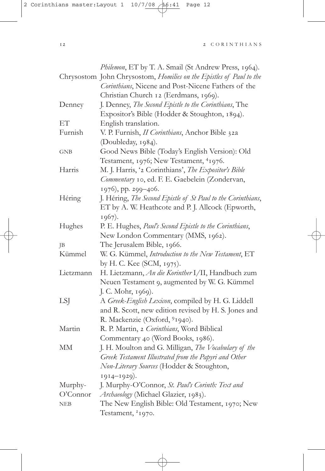I 2 C O R I N T H I A N S

|            | Philemon, ET by T. A. Smail (St Andrew Press, 1964).                |  |  |  |  |  |  |
|------------|---------------------------------------------------------------------|--|--|--|--|--|--|
|            | Chrysostom John Chrysostom, Homilies on the Epistles of Paul to the |  |  |  |  |  |  |
|            | Corinthians, Nicene and Post-Nicene Fathers of the                  |  |  |  |  |  |  |
|            | Christian Church 12 (Eerdmans, 1969).                               |  |  |  |  |  |  |
| Denney     | J. Denney, The Second Epistle to the Corinthians, The               |  |  |  |  |  |  |
|            | Expositor's Bible (Hodder & Stoughton, 1894).                       |  |  |  |  |  |  |
| EТ         | English translation.                                                |  |  |  |  |  |  |
| Furnish    | V. P. Furnish, <i>II Corinthians</i> , Anchor Bible 32a             |  |  |  |  |  |  |
|            | (Doubleday, 1984).                                                  |  |  |  |  |  |  |
| <b>GNB</b> | Good News Bible (Today's English Version): Old                      |  |  |  |  |  |  |
|            | Testament, 1976; New Testament, <sup>4</sup> 1976.                  |  |  |  |  |  |  |
| Harris     | M. J. Harris, '2 Corinthians', The Expositor's Bible                |  |  |  |  |  |  |
|            | Commentary 10, ed. F. E. Gaebelein (Zondervan,                      |  |  |  |  |  |  |
|            | 1976), pp. 299-406.                                                 |  |  |  |  |  |  |
| Héring     | J. Héring, The Second Epistle of St Paul to the Corinthians,        |  |  |  |  |  |  |
|            | ET by A. W. Heathcote and P. J. Allcock (Epworth,                   |  |  |  |  |  |  |
|            | 1967).                                                              |  |  |  |  |  |  |
| Hughes     | P. E. Hughes, Paul's Second Epistle to the Corinthians,             |  |  |  |  |  |  |
|            | New London Commentary (MMS, 1962).                                  |  |  |  |  |  |  |
| JB         | The Jerusalem Bible, 1966.                                          |  |  |  |  |  |  |
| Kümmel     | W. G. Kümmel, Introduction to the New Testament, ET                 |  |  |  |  |  |  |
|            | by H. C. Kee (SCM, 1975).                                           |  |  |  |  |  |  |
| Lietzmann  | H. Lietzmann, An die Korinther I/II, Handbuch zum                   |  |  |  |  |  |  |
|            | Neuen Testament 9, augmented by W. G. Kümmel                        |  |  |  |  |  |  |
|            | J. C. Mohr, 1969).                                                  |  |  |  |  |  |  |
| <b>LSJ</b> | A Greek-English Lexicon, compiled by H. G. Liddell                  |  |  |  |  |  |  |
|            | and R. Scott, new edition revised by H. S. Jones and                |  |  |  |  |  |  |
|            | R. Mackenzie (Oxford, 91940).                                       |  |  |  |  |  |  |
| Martin     | R. P. Martin, 2 Corinthians, Word Biblical                          |  |  |  |  |  |  |
|            | Commentary 40 (Word Books, 1986).                                   |  |  |  |  |  |  |
| MM         | J. H. Moulton and G. Milligan, The Vocabulary of the                |  |  |  |  |  |  |
|            | Greek Testament Illustrated from the Papyri and Other               |  |  |  |  |  |  |
|            | Non-Literary Sources (Hodder & Stoughton,                           |  |  |  |  |  |  |
|            | $1914 - 1929$ .                                                     |  |  |  |  |  |  |
| Murphy-    | J. Murphy-O'Connor, St. Paul's Corinth: Text and                    |  |  |  |  |  |  |
| O'Connor   | Archaeology (Michael Glazier, 1983).                                |  |  |  |  |  |  |
| NEB        | The New English Bible: Old Testament, 1970; New                     |  |  |  |  |  |  |
|            | Testament, 21970.                                                   |  |  |  |  |  |  |

┭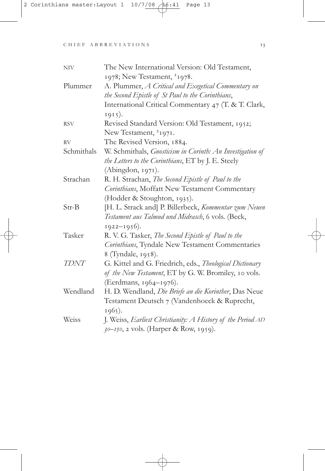#### CHIEF ABBREVIATIONS 13

| NIV        | The New International Version: Old Testament,               |
|------------|-------------------------------------------------------------|
|            | 1978; New Testament, <sup>2</sup> 1978.                     |
| Plummer    | A. Plummer, A Critical and Exegetical Commentary on         |
|            | the Second Epistle of St Paul to the Corinthians,           |
|            | International Critical Commentary 47 (T. & T. Clark,        |
|            | 1915).                                                      |
| RSV        | Revised Standard Version: Old Testament, 1952;              |
|            | New Testament, <sup>2</sup> 1971.                           |
| RV         | The Revised Version, 1884.                                  |
| Schmithals | W. Schmithals, Gnosticism in Corinth: An Investigation of   |
|            | the Letters to the Corinthians, ET by J. E. Steely          |
|            | (Abingdon, 1971).                                           |
| Strachan   | R. H. Strachan, The Second Epistle of Paul to the           |
|            | Corinthians, Moffatt New Testament Commentary               |
|            | (Hodder & Stoughton, 1935).                                 |
| Str-B      | [H. L. Strack and] P. Billerbeck, Kommentar zum Neuen       |
|            | Testament aus Talmud und Midrasch, 6 vols. (Beck,           |
|            | $1922 - 1956$ .                                             |
| Tasker     | R. V. G. Tasker, The Second Epistle of Paul to the          |
|            | Corinthians, Tyndale New Testament Commentaries             |
|            | 8 (Tyndale, 1958).                                          |
| TDNT       | G. Kittel and G. Friedrich, eds., Theological Dictionary    |
|            | of the New Testament, ET by G. W. Bromiley, 10 vols.        |
|            | (Eerdmans, 1964-1976).                                      |
| Wendland   | H. D. Wendland, Die Briefe an die Korinther, Das Neue       |
|            | Testament Deutsch 7 (Vandenhoeck & Ruprecht,                |
|            | 1965).                                                      |
| Weiss      | J. Weiss, Earliest Christianity: A History of the Period AD |
|            | 30-150, 2 vols. (Harper & Row, 1959).                       |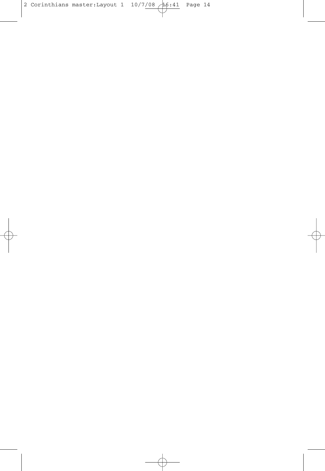2 Corinthians master:Layout 1  $10/7/08$  16:41 Page 14

 $\overline{\varphi}$ 

 $\overline{\oplus}$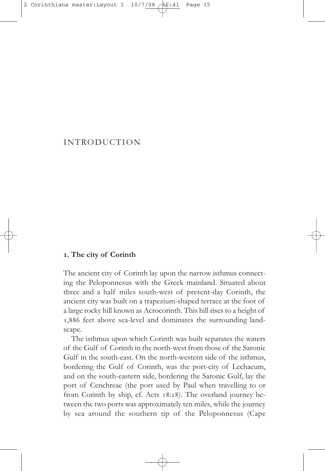## INTRODUCTION

# **. The city of Corinth**

The ancient city of Corinth lay upon the narrow isthmus connecting the Peloponnesus with the Greek mainland. Situated about three and a half miles south-west of present-day Corinth, the ancient city was built on a trapezium-shaped terrace at the foot of a large rocky hill known as Acrocorinth. This hill rises to a height of 1,886 feet above sea-level and dominates the surrounding landscape.

The isthmus upon which Corinth was built separates the waters of the Gulf of Corinth in the north-west from those of the Saronic Gulf in the south-east. On the north-western side of the isthmus, bordering the Gulf of Corinth, was the port-city of Lechaeum, and on the south-eastern side, bordering the Saronic Gulf, lay the port of Cenchreae (the port used by Paul when travelling to or from Corinth by ship, cf. Acts 18:18). The overland journey between the two ports was approximately ten miles, while the journey by sea around the southern tip of the Peloponnesus (Cape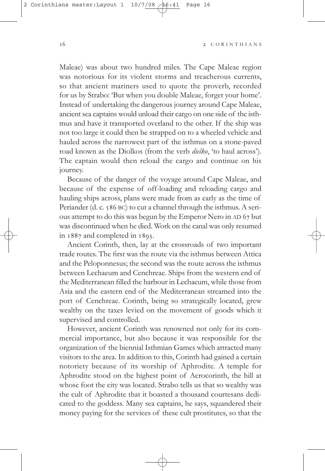I G CORINTHIANS

Maleae) was about two hundred miles. The Cape Maleae region was notorious for its violent storms and treacherous currents, so that ancient mariners used to quote the proverb, recorded for us by Strabo: 'But when you double Maleae, forget your home'. Instead of undertaking the dangerous journey around Cape Maleae, ancient sea captains would unload their cargo on one side of the isthmus and have it transported overland to the other. If the ship was not too large it could then be strapped on to a wheeled vehicle and hauled across the narrowest part of the isthmus on a stone-paved road known as the Diolkos (from the verb *dielko*, 'to haul across'). The captain would then reload the cargo and continue on his journey.

Because of the danger of the voyage around Cape Maleae, and because of the expense of off-loading and reloading cargo and hauling ships across, plans were made from as early as the time of Periander (d. c.  $586$  BC) to cut a channel through the isthmus. A serious attempt to do this was begun by the Emperor Nero in AD 67 but was discontinued when he died. Work on the canal was only resumed in  $1887$  and completed in  $1893$ .

Ancient Corinth, then, lay at the crossroads of two important trade routes. The first was the route via the isthmus between Attica and the Peloponnesus; the second was the route across the isthmus between Lechaeum and Cenchreae. Ships from the western end of the Mediterranean filled the harbour in Lechaeum, while those from Asia and the eastern end of the Mediterranean streamed into the port of Cenchreae. Corinth, being so strategically located, grew wealthy on the taxes levied on the movement of goods which it supervised and controlled.

However, ancient Corinth was renowned not only for its commercial importance, but also because it was responsible for the organization of the biennial Isthmian Games which attracted many visitors to the area. In addition to this, Corinth had gained a certain notoriety because of its worship of Aphrodite. A temple for Aphrodite stood on the highest point of Acrocorinth, the hill at whose foot the city was located. Strabo tells us that so wealthy was the cult of Aphrodite that it boasted a thousand courtesans dedicated to the goddess. Many sea captains, he says, squandered their money paying for the services of these cult prostitutes, so that the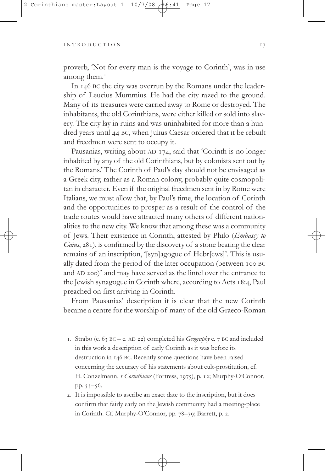proverb, 'Not for every man is the voyage to Corinth', was in use among them.

In 146 BC the city was overrun by the Romans under the leadership of Leucius Mummius. He had the city razed to the ground. Many of its treasures were carried away to Rome or destroyed. The inhabitants, the old Corinthians, were either killed or sold into slavery. The city lay in ruins and was uninhabited for more than a hundred years until 44 BC, when Julius Caesar ordered that it be rebuilt and freedmen were sent to occupy it.

Pausanias, writing about  $AD \t174$ , said that 'Corinth is no longer inhabited by any of the old Corinthians, but by colonists sent out by the Romans.' The Corinth of Paul's day should not be envisaged as a Greek city, rather as a Roman colony, probably quite cosmopolitan in character. Even if the original freedmen sent in by Rome were Italians, we must allow that, by Paul's time, the location of Corinth and the opportunities to prosper as a result of the control of the trade routes would have attracted many others of different nationalities to the new city. We know that among these was a community of Jews. Their existence in Corinth, attested by Philo (*Embassy to Gaius*, 281), is confirmed by the discovery of a stone bearing the clear remains of an inscription, '[syn]agogue of Hebr[ews]'. This is usually dated from the period of the later occupation (between 100 BC) and AD 200)<sup>2</sup> and may have served as the lintel over the entrance to the Jewish synagogue in Corinth where, according to Acts 18:4, Paul preached on first arriving in Corinth.

From Pausanias' description it is clear that the new Corinth became a centre for the worship of many of the old Graeco-Roman

<sup>1.</sup> Strabo (c. 63 BC – c. AD 22) completed his *Geography* c. 7 BC and included in this work a description of early Corinth as it was before its destruction in 146 BC. Recently some questions have been raised concerning the accuracy of his statements about cult-prostitution, cf. H. Conzelmann, *I Corinthians* (Fortress, 1975), p. 12; Murphy-O'Connor, pp.  $55 - 56$ .

<sup>.</sup> It is impossible to ascribe an exact date to the inscription, but it does confirm that fairly early on the Jewish community had a meeting-place in Corinth. Cf. Murphy-O'Connor, pp. 78-79; Barrett, p. 2.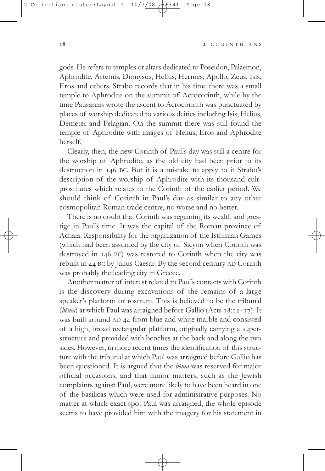T<sup>8</sup> 2 CORINTHIANS

gods. He refers to temples or altars dedicated to Poseidon, Palaemon, Aphrodite, Artemis, Dionysus, Helius, Hermes, Apollo, Zeus, Isis, Eros and others. Strabo records that in his time there was a small temple to Aphrodite on the summit of Acrocorinth, while by the time Pausanias wrote the ascent to Acrocorinth was punctuated by places of worship dedicated to various deities including Isis, Helius, Demeter and Pelagian. On the summit there was still found the temple of Aphrodite with images of Helius, Eros and Aphrodite herself.

Clearly, then, the new Corinth of Paul's day was still a centre for the worship of Aphrodite, as the old city had been prior to its destruction in  $146$  BC. But it is a mistake to apply to it Strabo's description of the worship of Aphrodite with its thousand cultprostitutes which relates to the Corinth of the earlier period. We should think of Corinth in Paul's day as similar to any other cosmopolitan Roman trade centre, no worse and no better.

There is no doubt that Corinth was regaining its wealth and prestige in Paul's time. It was the capital of the Roman province of Achaia. Responsibility for the organization of the Isthmian Games (which had been assumed by the city of Sicyon when Corinth was destroyed in 146 BC) was restored to Corinth when the city was rebuilt in 44 BC by Julius Caesar. By the second century AD Corinth was probably the leading city in Greece.

Another matter of interest related to Paul's contacts with Corinth is the discovery during excavations of the remains of a large speaker's platform or rostrum. This is believed to be the tribunal (bēma) at which Paul was arraigned before Gallio (Acts 18:12-17). It was built around AD 44 from blue and white marble and consisted of a high, broad rectangular platform, originally carrying a superstructure and provided with benches at the back and along the two sides. However, in more recent times the identification of this structure with the tribunal at which Paul was arraigned before Gallio has been questioned. It is argued that the *bēma* was reserved for major official occasions, and that minor matters, such as the Jewish complaints against Paul, were more likely to have been heard in one of the basilicas which were used for administrative purposes. No matter at which exact spot Paul was arraigned, the whole episode seems to have provided him with the imagery for his statement in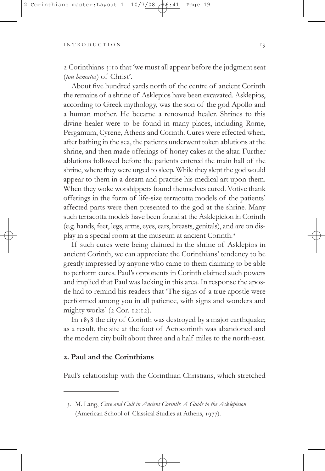2 Corinthians 5:10 that 'we must all appear before the judgment seat (tou bēmatos) of Christ'.

About five hundred yards north of the centre of ancient Corinth the remains of a shrine of Asklepios have been excavated. Asklepios, according to Greek mythology, was the son of the god Apollo and a human mother. He became a renowned healer. Shrines to this divine healer were to be found in many places, including Rome, Pergamum, Cyrene, Athens and Corinth. Cures were effected when, after bathing in the sea, the patients underwent token ablutions at the shrine, and then made offerings of honey cakes at the altar. Further ablutions followed before the patients entered the main hall of the shrine, where they were urged to sleep. While they slept the god would appear to them in a dream and practise his medical art upon them. When they woke worshippers found themselves cured. Votive thank offerings in the form of life-size terracotta models of the patients' affected parts were then presented to the god at the shrine. Many such terracotta models have been found at the Asklepieion in Corinth (e.g. hands, feet, legs, arms, eyes, ears, breasts, genitals), and are on display in a special room at the museum at ancient Corinth.

If such cures were being claimed in the shrine of Asklepios in ancient Corinth, we can appreciate the Corinthians' tendency to be greatly impressed by anyone who came to them claiming to be able to perform cures. Paul's opponents in Corinth claimed such powers and implied that Paul was lacking in this area. In response the apostle had to remind his readers that 'The signs of a true apostle were performed among you in all patience, with signs and wonders and mighty works'  $(2$  Cor.  $12:12$ ).

In 1858 the city of Corinth was destroyed by a major earthquake; as a result, the site at the foot of Acrocorinth was abandoned and the modern city built about three and a half miles to the north-east.

### **. Paul and the Corinthians**

Paul's relationship with the Corinthian Christians, which stretched

<sup>.</sup> M. Lang, *Cure and Cult in Ancient Corinth: A Guide to the Asklepieion* (American School of Classical Studies at Athens, 1977).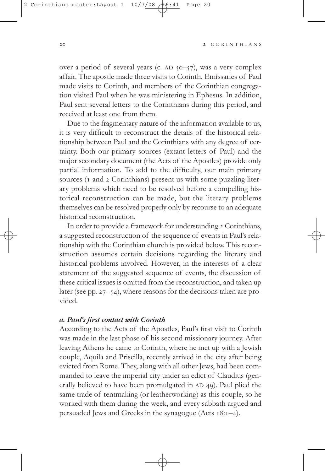2 Corinthians master: Layout 1  $10/7/08$   $16:41$  Page

C O R I N T H I A N S

over a period of several years (c.  $AD$   $50–57$ ), was a very complex affair. The apostle made three visits to Corinth. Emissaries of Paul made visits to Corinth, and members of the Corinthian congregation visited Paul when he was ministering in Ephesus. In addition, Paul sent several letters to the Corinthians during this period, and received at least one from them.

Due to the fragmentary nature of the information available to us, it is very difficult to reconstruct the details of the historical relationship between Paul and the Corinthians with any degree of certainty. Both our primary sources (extant letters of Paul) and the major secondary document (the Acts of the Apostles) provide only partial information. To add to the difficulty, our main primary sources (1 and 2 Corinthians) present us with some puzzling literary problems which need to be resolved before a compelling historical reconstruction can be made, but the literary problems themselves can be resolved properly only by recourse to an adequate historical reconstruction.

In order to provide a framework for understanding 2 Corinthians, a suggested reconstruction of the sequence of events in Paul's relationship with the Corinthian church is provided below. This reconstruction assumes certain decisions regarding the literary and historical problems involved. However, in the interests of a clear statement of the suggested sequence of events, the discussion of these critical issues is omitted from the reconstruction, and taken up later (see pp.  $27 - 54$ ), where reasons for the decisions taken are provided.

## *a. Paul's first contact with Corinth*

According to the Acts of the Apostles, Paul's first visit to Corinth was made in the last phase of his second missionary journey. After leaving Athens he came to Corinth, where he met up with a Jewish couple, Aquila and Priscilla, recently arrived in the city after being evicted from Rome. They, along with all other Jews, had been commanded to leave the imperial city under an edict of Claudius (generally believed to have been promulgated in AD 49). Paul plied the same trade of tentmaking (or leatherworking) as this couple, so he worked with them during the week, and every sabbath argued and persuaded Jews and Greeks in the synagogue (Acts  $18:1-4$ ).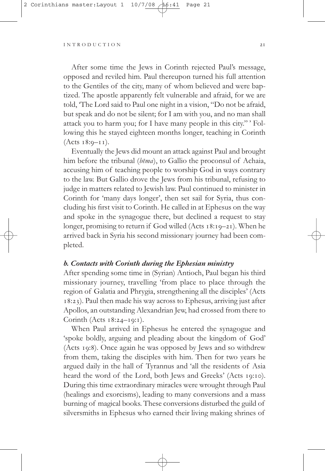After some time the Jews in Corinth rejected Paul's message, opposed and reviled him. Paul thereupon turned his full attention to the Gentiles of the city, many of whom believed and were baptized. The apostle apparently felt vulnerable and afraid, for we are told, 'The Lord said to Paul one night in a vision, "Do not be afraid, but speak and do not be silent; for I am with you, and no man shall attack you to harm you; for I have many people in this city." ' Following this he stayed eighteen months longer, teaching in Corinth  $(Acts 18:9-11).$ 

Eventually the Jews did mount an attack against Paul and brought him before the tribunal (*bēma*), to Gallio the proconsul of Achaia, accusing him of teaching people to worship God in ways contrary to the law. But Gallio drove the Jews from his tribunal, refusing to judge in matters related to Jewish law. Paul continued to minister in Corinth for 'many days longer', then set sail for Syria, thus concluding his first visit to Corinth. He called in at Ephesus on the way and spoke in the synagogue there, but declined a request to stay longer, promising to return if God willed (Acts  $18:19-21$ ). When he arrived back in Syria his second missionary journey had been completed.

#### *b. Contacts with Corinth during the Ephesian ministry*

After spending some time in (Syrian) Antioch, Paul began his third missionary journey, travelling 'from place to place through the region of Galatia and Phrygia, strengthening all the disciples' (Acts :). Paul then made his way across to Ephesus, arriving just after Apollos, an outstanding Alexandrian Jew, had crossed from there to Corinth (Acts  $18:24-19:1$ ).

When Paul arrived in Ephesus he entered the synagogue and 'spoke boldly, arguing and pleading about the kingdom of God' (Acts 19:8). Once again he was opposed by Jews and so withdrew from them, taking the disciples with him. Then for two years he argued daily in the hall of Tyrannus and 'all the residents of Asia heard the word of the Lord, both Jews and Greeks' (Acts 19:10). During this time extraordinary miracles were wrought through Paul (healings and exorcisms), leading to many conversions and a mass burning of magical books. These conversions disturbed the guild of silversmiths in Ephesus who earned their living making shrines of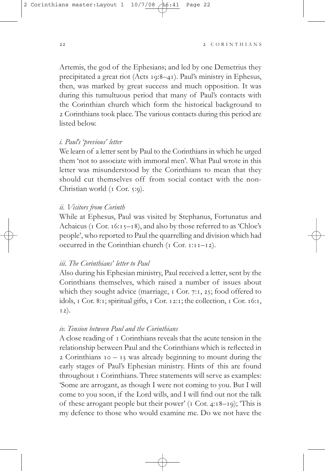C O R I N T H I A N S

Artemis, the god of the Ephesians; and led by one Demetrius they precipitated a great riot (Acts  $19:8-41$ ). Paul's ministry in Ephesus, then, was marked by great success and much opposition. It was during this tumultuous period that many of Paul's contacts with the Corinthian church which form the historical background to Corinthians took place. The various contacts during this period are listed below.

#### *i. Paul's 'previous' letter*

We learn of a letter sent by Paul to the Corinthians in which he urged them 'not to associate with immoral men'. What Paul wrote in this letter was misunderstood by the Corinthians to mean that they should cut themselves off from social contact with the non-Christian world ( $I$  Cor.  $5:9$ ).

#### *ii. Visitors from Corinth*

While at Ephesus, Paul was visited by Stephanus, Fortunatus and Achaicus ( $\frac{1}{1}$  Cor.  $\frac{16}{15}$  – $\frac{18}{18}$ ), and also by those referred to as 'Chloe's people', who reported to Paul the quarrelling and division which had occurred in the Corinthian church  $($ I Cor.  $1:$ II $-$ I $2)$ .

#### *iii. The Corinthians' letter to Paul*

Also during his Ephesian ministry, Paul received a letter, sent by the Corinthians themselves, which raised a number of issues about which they sought advice (marriage,  $\bar{1}$  Cor. 7:1, 25; food offered to idols,  $\bar{1}$  Cor. 8:1; spiritual gifts,  $\bar{1}$  Cor.  $\bar{1}$  z:1; the collection,  $\bar{1}$  Cor.  $\bar{1}$  6:1,  $12)$ .

#### *iv. Tension between Paul and the Corinthians*

A close reading of 1 Corinthians reveals that the acute tension in the relationship between Paul and the Corinthians which is reflected in 2 Corinthians  $10 - 13$  was already beginning to mount during the early stages of Paul's Ephesian ministry. Hints of this are found throughout I Corinthians. Three statements will serve as examples: 'Some are arrogant, as though I were not coming to you. But I will come to you soon, if the Lord wills, and I will find out not the talk of these arrogant people but their power' ( $\tau$  Cor. 4: $\tau$ 8– $\tau$ 9); 'This is my defence to those who would examine me. Do we not have the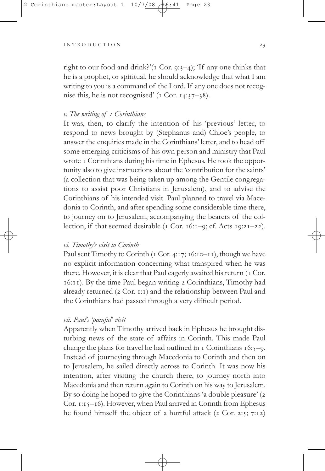right to our food and drink?'( $\iota$  Cor.  $\varphi$ : $\varphi$ -4); 'If any one thinks that he is a prophet, or spiritual, he should acknowledge that what I am writing to you is a command of the Lord. If any one does not recognise this, he is not recognised' ( $\tau$  Cor.  $\tau$ 4:37–38).

### *v. The writing of Corinthians*

It was, then, to clarify the intention of his 'previous' letter, to respond to news brought by (Stephanus and) Chloe's people, to answer the enquiries made in the Corinthians' letter, and to head off some emerging criticisms of his own person and ministry that Paul wrote I Corinthians during his time in Ephesus. He took the opportunity also to give instructions about the 'contribution for the saints' (a collection that was being taken up among the Gentile congregations to assist poor Christians in Jerusalem), and to advise the Corinthians of his intended visit. Paul planned to travel via Macedonia to Corinth, and after spending some considerable time there, to journey on to Jerusalem, accompanying the bearers of the collection, if that seemed desirable ( $\overline{1}$  Cor.  $\overline{1}$  6: $\overline{1}$  –9; cf. Acts  $\overline{1}$  9:2 $\overline{1}$  –22).

#### *vi. Timothy's visit to Corinth*

Paul sent Timothy to Corinth ( $\tau$  Cor. 4:17;  $\tau$ 6:10–11), though we have no explicit information concerning what transpired when he was there. However, it is clear that Paul eagerly awaited his return (1 Cor.  $16:11$ ). By the time Paul began writing  $2$  Corinthians, Timothy had already returned  $(2 \text{ Cor. } 1:1)$  and the relationship between Paul and the Corinthians had passed through a very difficult period.

#### *vii. Paul's 'painful' visit*

Apparently when Timothy arrived back in Ephesus he brought disturbing news of the state of affairs in Corinth. This made Paul change the plans for travel he had outlined in  $\tau$  Corinthians  $\tau$  6:5–9. Instead of journeying through Macedonia to Corinth and then on to Jerusalem, he sailed directly across to Corinth. It was now his intention, after visiting the church there, to journey north into Macedonia and then return again to Corinth on his way to Jerusalem. By so doing he hoped to give the Corinthians 'a double pleasure' ( Cor.  $1:15-16$ . However, when Paul arrived in Corinth from Ephesus he found himself the object of a hurtful attack  $(2 \text{ Cor. } 2:5; 7:12)$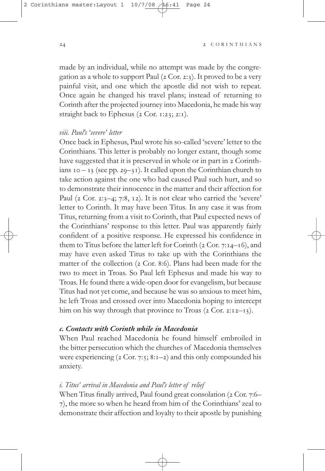24 22 CORINTHIANS

made by an individual, while no attempt was made by the congregation as a whole to support Paul  $(z \text{ Cor. } 2:3)$ . It proved to be a very painful visit, and one which the apostle did not wish to repeat. Once again he changed his travel plans; instead of returning to Corinth after the projected journey into Macedonia, he made his way straight back to Ephesus (2 Cor. 1:23; 2:1).

#### *viii. Paul's 'severe' letter*

Once back in Ephesus, Paul wrote his so-called 'severe' letter to the Corinthians. This letter is probably no longer extant, though some have suggested that it is preserved in whole or in part in 2 Corinthians  $10 - 13$  (see pp. 29–31). It called upon the Corinthian church to take action against the one who had caused Paul such hurt, and so to demonstrate their innocence in the matter and their affection for Paul ( $2$  Cor.  $2:3-4$ ; 7:8, 12). It is not clear who carried the 'severe' letter to Corinth. It may have been Titus. In any case it was from Titus, returning from a visit to Corinth, that Paul expected news of the Corinthians' response to this letter. Paul was apparently fairly confident of a positive response. He expressed his confidence in them to Titus before the latter left for Corinth ( $2$  Cor.  $7:14-16$ ), and may have even asked Titus to take up with the Corinthians the matter of the collection  $(2 \text{ Cor. } 8:6)$ . Plans had been made for the two to meet in Troas. So Paul left Ephesus and made his way to Troas. He found there a wide-open door for evangelism, but because Titus had not yet come, and because he was so anxious to meet him, he left Troas and crossed over into Macedonia hoping to intercept him on his way through that province to Troas  $(2 \text{ Cor. } 2:12-13)$ .

#### *c. Contacts with Corinth while in Macedonia*

When Paul reached Macedonia he found himself embroiled in the bitter persecution which the churches of Macedonia themselves were experiencing ( $2$  Cor. 7:5;  $8:1-2$ ) and this only compounded his anxiety.

### *i. Titus' arrival in Macedonia and Paul's letter of relief*

When Titus finally arrived, Paul found great consolation (2 Cor. 7:6– ), the more so when he heard from him of the Corinthians' zeal to demonstrate their affection and loyalty to their apostle by punishing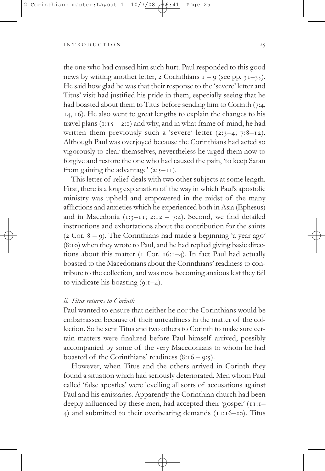the one who had caused him such hurt. Paul responded to this good news by writing another letter, 2 Corinthians  $I - q$  (see pp.  $3I - 35$ ). He said how glad he was that their response to the 'severe' letter and Titus' visit had justified his pride in them, especially seeing that he had boasted about them to Titus before sending him to Corinth  $(7:4, 1)$ 14, 16). He also went to great lengths to explain the changes to his travel plans  $(i:i-2:i)$  and why, and in what frame of mind, he had written them previously such a 'severe' letter  $(2:3-4; 7:8-12)$ . Although Paul was overjoyed because the Corinthians had acted so vigorously to clear themselves, nevertheless he urged them now to forgive and restore the one who had caused the pain, 'to keep Satan from gaining the advantage'  $(z;\mathbf{s}-\mathbf{I})$ .

This letter of relief deals with two other subjects at some length. First, there is a long explanation of the way in which Paul's apostolic ministry was upheld and empowered in the midst of the many afflictions and anxieties which he experienced both in Asia (Ephesus) and in Macedonia  $(i:3-11; 2:12-7:4)$ . Second, we find detailed instructions and exhortations about the contribution for the saints  $(2 \text{ Cor. } 8 - 9)$ . The Corinthians had made a beginning 'a year ago'  $(8:10)$  when they wrote to Paul, and he had replied giving basic directions about this matter ( $I$  Cor.  $I6:I-4$ ). In fact Paul had actually boasted to the Macedonians about the Corinthians' readiness to contribute to the collection, and was now becoming anxious lest they fail to vindicate his boasting  $(9:1-4)$ .

#### *ii. Titus returns to Corinth*

Paul wanted to ensure that neither he nor the Corinthians would be embarrassed because of their unreadiness in the matter of the collection. So he sent Titus and two others to Corinth to make sure certain matters were finalized before Paul himself arrived, possibly accompanied by some of the very Macedonians to whom he had boasted of the Corinthians' readiness  $(8:16 - 9:5)$ .

However, when Titus and the others arrived in Corinth they found a situation which had seriously deteriorated. Men whom Paul called 'false apostles' were levelling all sorts of accusations against Paul and his emissaries. Apparently the Corinthian church had been deeply influenced by these men, had accepted their 'gospel' (11:1-4) and submitted to their overbearing demands  $(11:16-20)$ . Titus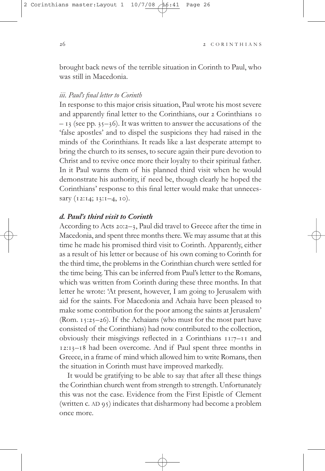26 20 RINTHIANS

brought back news of the terrible situation in Corinth to Paul, who was still in Macedonia.

#### *iii. Paul's final letter to Corinth*

In response to this major crisis situation, Paul wrote his most severe and apparently final letter to the Corinthians, our 2 Corinthians 10  $-$  13 (see pp. 35–36). It was written to answer the accusations of the 'false apostles' and to dispel the suspicions they had raised in the minds of the Corinthians. It reads like a last desperate attempt to bring the church to its senses, to secure again their pure devotion to Christ and to revive once more their loyalty to their spiritual father. In it Paul warns them of his planned third visit when he would demonstrate his authority, if need be, though clearly he hoped the Corinthians' response to this final letter would make that unnecessary  $(12:14; 13:1-4, 10)$ .

# *d. Paul's third visit to Corinth*

According to Acts 20:2-3, Paul did travel to Greece after the time in Macedonia, and spent three months there. We may assume that at this time he made his promised third visit to Corinth. Apparently, either as a result of his letter or because of his own coming to Corinth for the third time, the problems in the Corinthian church were settled for the time being. This can be inferred from Paul's letter to the Romans, which was written from Corinth during these three months. In that letter he wrote: 'At present, however, I am going to Jerusalem with aid for the saints. For Macedonia and Achaia have been pleased to make some contribution for the poor among the saints at Jerusalem' (Rom.  $15:25-26$ ). If the Achaians (who must for the most part have consisted of the Corinthians) had now contributed to the collection, obviously their misgivings reflected in 2 Corinthians  $11:7-11$  and  $12:13-18$  had been overcome. And if Paul spent three months in Greece, in a frame of mind which allowed him to write Romans, then the situation in Corinth must have improved markedly.

It would be gratifying to be able to say that after all these things the Corinthian church went from strength to strength. Unfortunately this was not the case. Evidence from the First Epistle of Clement (written c.  $AD\ 95$ ) indicates that disharmony had become a problem once more.